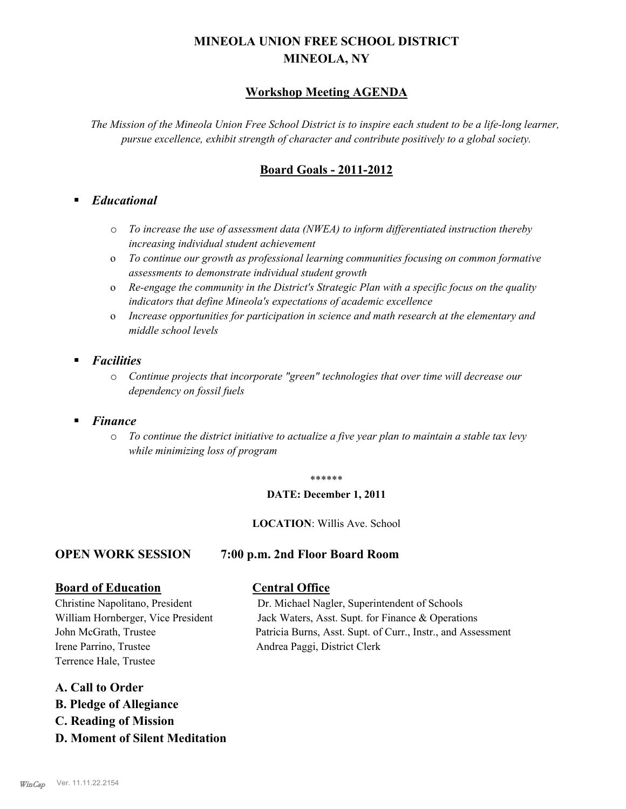# **MINEOLA UNION FREE SCHOOL DISTRICT MINEOLA, NY**

## **Workshop Meeting AGENDA**

*The Mission of the Mineola Union Free School District is to inspire each student to be a life-long learner, pursue excellence, exhibit strength of character and contribute positively to a global society.*

## **Board Goals - 2011-2012**

## § *Educational*

- o *To increase the use of assessment data (NWEA) to inform differentiated instruction thereby increasing individual student achievement*
- o *To continue our growth as professional learning communities focusing on common formative assessments to demonstrate individual student growth*
- o *Re-engage the community in the District's Strategic Plan with a specific focus on the quality indicators that define Mineola's expectations of academic excellence*
- o *Increase opportunities for participation in science and math research at the elementary and middle school levels*
- § *Facilities*
	- o *Continue projects that incorporate "green" technologies that over time will decrease our dependency on fossil fuels*
- § *Finance*
	- o *To continue the district initiative to actualize a five year plan to maintain a stable tax levy while minimizing loss of program*

#### \*\*\*\*\*\*

#### **DATE: December 1, 2011**

### **LOCATION**: Willis Ave. School

## **OPEN WORK SESSION 7:00 p.m. 2nd Floor Board Room**

### **Board of Education Central Office**

Irene Parrino, Trustee Andrea Paggi, District Clerk Terrence Hale, Trustee

### **A. Call to Order**

- **B. Pledge of Allegiance**
- **C. Reading of Mission**
- **D. Moment of Silent Meditation**

Christine Napolitano, President Dr. Michael Nagler, Superintendent of Schools William Hornberger, Vice President Jack Waters, Asst. Supt. for Finance & Operations John McGrath, Trustee Patricia Burns, Asst. Supt. of Curr., Instr., and Assessment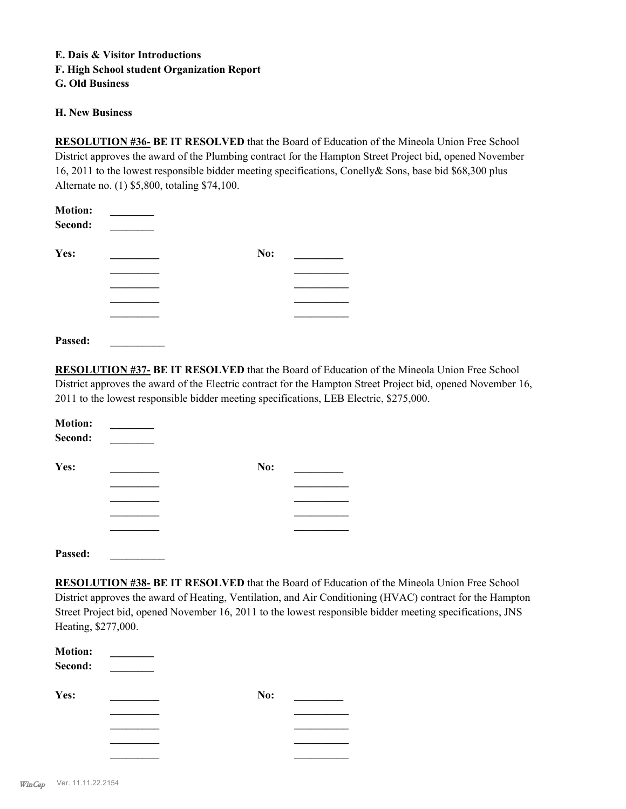## **E. Dais & Visitor Introductions F. High School student Organization Report G. Old Business**

#### **H. New Business**

**RESOLUTION #36- BE IT RESOLVED** that the Board of Education of the Mineola Union Free School District approves the award of the Plumbing contract for the Hampton Street Project bid, opened November 16, 2011 to the lowest responsible bidder meeting specifications, Conelly& Sons, base bid \$68,300 plus Alternate no. (1) \$5,800, totaling \$74,100.

| <b>Motion:</b> |     |  |
|----------------|-----|--|
| Second:        |     |  |
| Yes:           | No: |  |
|                |     |  |
|                |     |  |
|                |     |  |
|                |     |  |
|                |     |  |

**RESOLUTION #37- BE IT RESOLVED** that the Board of Education of the Mineola Union Free School District approves the award of the Electric contract for the Hampton Street Project bid, opened November 16, 2011 to the lowest responsible bidder meeting specifications, LEB Electric, \$275,000.

| <b>Motion:</b><br>Second: |     |  |
|---------------------------|-----|--|
| Yes:                      | No: |  |
|                           |     |  |
|                           |     |  |
|                           |     |  |
|                           |     |  |
|                           |     |  |

**Passed: \_\_\_\_\_\_\_\_\_\_**

**Passed: \_\_\_\_\_\_\_\_\_\_**

**RESOLUTION #38- BE IT RESOLVED** that the Board of Education of the Mineola Union Free School District approves the award of Heating, Ventilation, and Air Conditioning (HVAC) contract for the Hampton Street Project bid, opened November 16, 2011 to the lowest responsible bidder meeting specifications, JNS Heating, \$277,000.

| <b>Motion:</b><br>Second: |     |  |
|---------------------------|-----|--|
| Yes:                      | No: |  |
|                           |     |  |
|                           |     |  |
|                           |     |  |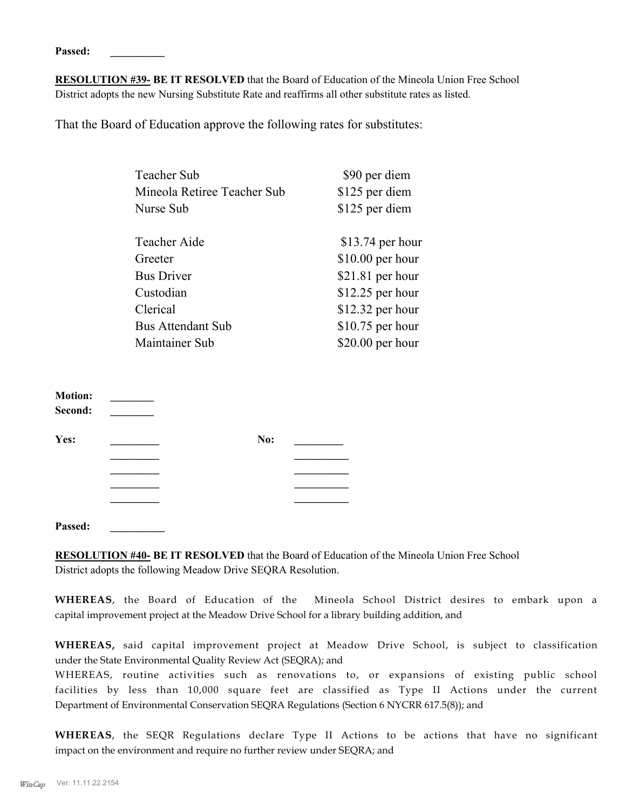**Passed: \_\_\_\_\_\_\_\_\_\_**

**RESOLUTION #39- BE IT RESOLVED** that the Board of Education of the Mineola Union Free School District adopts the new Nursing Substitute Rate and reaffirms all other substitute rates as listed.

That the Board of Education approve the following rates for substitutes:

| <b>Teacher Sub</b>          | \$90 per diem     |
|-----------------------------|-------------------|
| Mineola Retiree Teacher Sub | \$125 per diem    |
| Nurse Sub                   | \$125 per diem    |
| <b>Teacher Aide</b>         | $$13.74$ per hour |
| Greeter                     | $$10.00$ per hour |
| <b>Bus Driver</b>           | $$21.81$ per hour |
| Custodian                   | \$12.25 per hour  |
| Clerical                    | $$12.32$ per hour |
| <b>Bus Attendant Sub</b>    | $$10.75$ per hour |
| Maintainer Sub              | $$20.00$ per hour |

| <b>Motion:</b><br>Second: |     |  |
|---------------------------|-----|--|
| Yes:                      | No: |  |
|                           |     |  |
|                           |     |  |
|                           |     |  |
|                           |     |  |
|                           |     |  |

**Passed: \_\_\_\_\_\_\_\_\_\_**

**RESOLUTION #40- BE IT RESOLVED** that the Board of Education of the Mineola Union Free School District adopts the following Meadow Drive SEQRA Resolution.

**WHEREAS**, the Board of Education of the Mineola School District desires to embark upon a capital improvement project at the Meadow Drive School for a library building addition, and

**WHEREAS,** said capital improvement project at Meadow Drive School, is subject to classification under the State Environmental Quality Review Act (SEQRA); and

WHEREAS, routine activities such as renovations to, or expansions of existing public school facilities by less than 10,000 square feet are classified as Type II Actions under the current Department of Environmental Conservation SEQRA Regulations (Section 6 NYCRR 617.5(8)); and

**WHEREAS**, the SEQR Regulations declare Type II Actions to be actions that have no significant impact on the environment and require no further review under SEQRA; and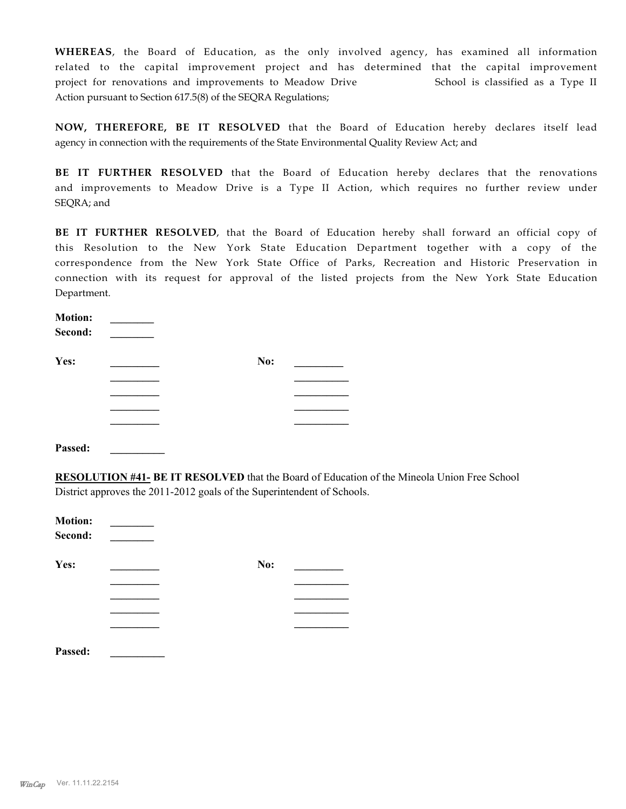**WHEREAS**, the Board of Education, as the only involved agency, has examined all information related to the capital improvement project and has determined that the capital improvement project for renovations and improvements to Meadow Drive School is classified as a Type II Action pursuant to Section 617.5(8) of the SEQRA Regulations;

**NOW, THEREFORE, BE IT RESOLVED** that the Board of Education hereby declares itself lead agency in connection with the requirements of the State Environmental Quality Review Act; and

**BE IT FURTHER RESOLVED** that the Board of Education hereby declares that the renovations and improvements to Meadow Drive is a Type II Action, which requires no further review under SEQRA; and

**BE IT FURTHER RESOLVED**, that the Board of Education hereby shall forward an official copy of this Resolution to the New York State Education Department together with a copy of the correspondence from the New York State Office of Parks, Recreation and Historic Preservation in connection with its request for approval of the listed projects from the New York State Education Department.

| <b>Motion:</b><br>Second: |     |  |
|---------------------------|-----|--|
| Yes:                      | No: |  |
|                           |     |  |
|                           |     |  |
|                           |     |  |
|                           |     |  |
| Passed:                   |     |  |

**RESOLUTION #41- BE IT RESOLVED** that the Board of Education of the Mineola Union Free School District approves the 2011-2012 goals of the Superintendent of Schools.

| <b>Motion:</b><br>Second: |     |  |
|---------------------------|-----|--|
| Yes:                      | No: |  |
|                           |     |  |
|                           |     |  |
|                           |     |  |
|                           |     |  |
| Passed:                   |     |  |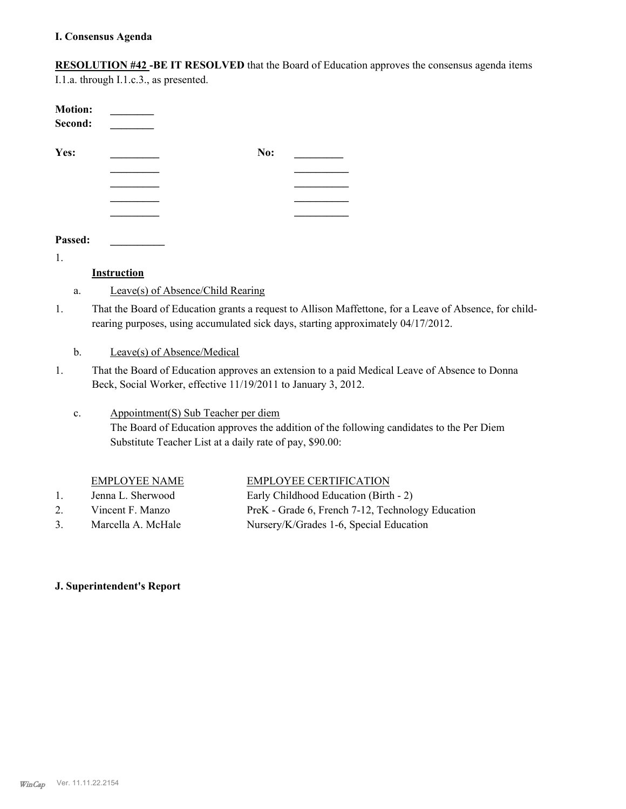**RESOLUTION #42 -BE IT RESOLVED** that the Board of Education approves the consensus agenda items

I.1.a. through I.1.c.3., as presented.

| <b>Motion:</b><br>Second: |     |  |
|---------------------------|-----|--|
| Yes:                      | No: |  |
|                           |     |  |
|                           |     |  |
|                           |     |  |
|                           |     |  |
| Passed:                   |     |  |

1.

## **Instruction**

- a. Leave(s) of Absence/Child Rearing
- That the Board of Education grants a request to Allison Maffettone, for a Leave of Absence, for childrearing purposes, using accumulated sick days, starting approximately 04/17/2012. 1.

b. Leave(s) of Absence/Medical

That the Board of Education approves an extension to a paid Medical Leave of Absence to Donna Beck, Social Worker, effective 11/19/2011 to January 3, 2012. 1.

#### Appointment(S) Sub Teacher per diem The Board of Education approves the addition of the following candidates to the Per Diem Substitute Teacher List at a daily rate of pay, \$90.00: c.

## EMPLOYEE NAME EMPLOYEE CERTIFICATION

- 1. Jenna L. Sherwood Early Childhood Education (Birth 2)
- 
- 2. Vincent F. Manzo PreK Grade 6, French 7-12, Technology Education 3. Marcella A. McHale Nursery/K/Grades 1-6, Special Education

## **J. Superintendent's Report**